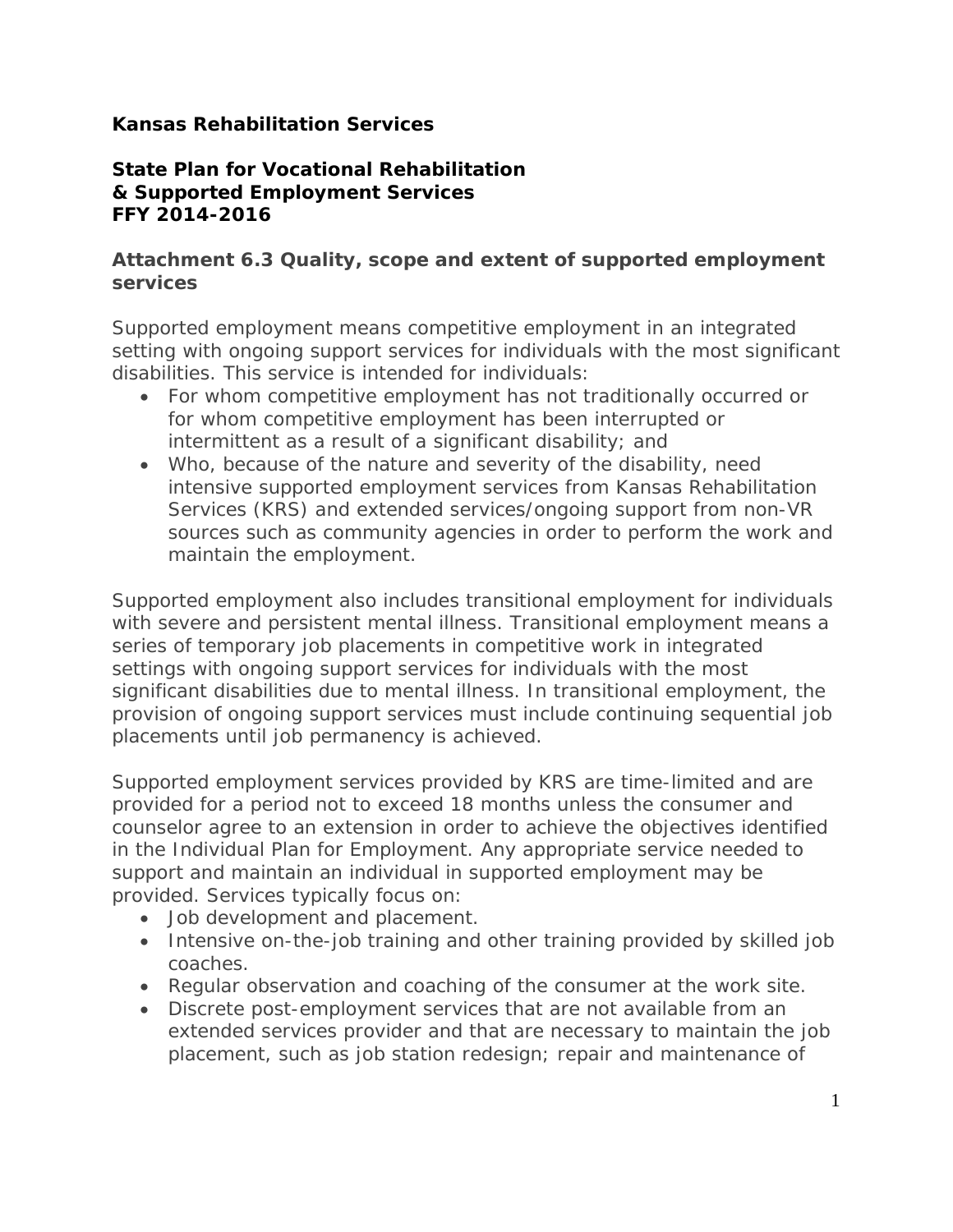## **Kansas Rehabilitation Services**

## **State Plan for Vocational Rehabilitation & Supported Employment Services FFY 2014-2016**

#### **Attachment 6.3 Quality, scope and extent of supported employment services**

Supported employment means competitive employment in an integrated setting with ongoing support services for individuals with the most significant disabilities. This service is intended for individuals:

- For whom competitive employment has not traditionally occurred or for whom competitive employment has been interrupted or intermittent as a result of a significant disability; and
- Who, because of the nature and severity of the disability, need intensive supported employment services from Kansas Rehabilitation Services (KRS) and extended services/ongoing support from non-VR sources such as community agencies in order to perform the work and maintain the employment.

Supported employment also includes transitional employment for individuals with severe and persistent mental illness. Transitional employment means a series of temporary job placements in competitive work in integrated settings with ongoing support services for individuals with the most significant disabilities due to mental illness. In transitional employment, the provision of ongoing support services must include continuing sequential job placements until job permanency is achieved.

Supported employment services provided by KRS are time-limited and are provided for a period not to exceed 18 months unless the consumer and counselor agree to an extension in order to achieve the objectives identified in the Individual Plan for Employment. Any appropriate service needed to support and maintain an individual in supported employment may be provided. Services typically focus on:

- Job development and placement.
- Intensive on-the-job training and other training provided by skilled job coaches.
- Regular observation and coaching of the consumer at the work site.
- Discrete post-employment services that are not available from an extended services provider and that are necessary to maintain the job placement, such as job station redesign; repair and maintenance of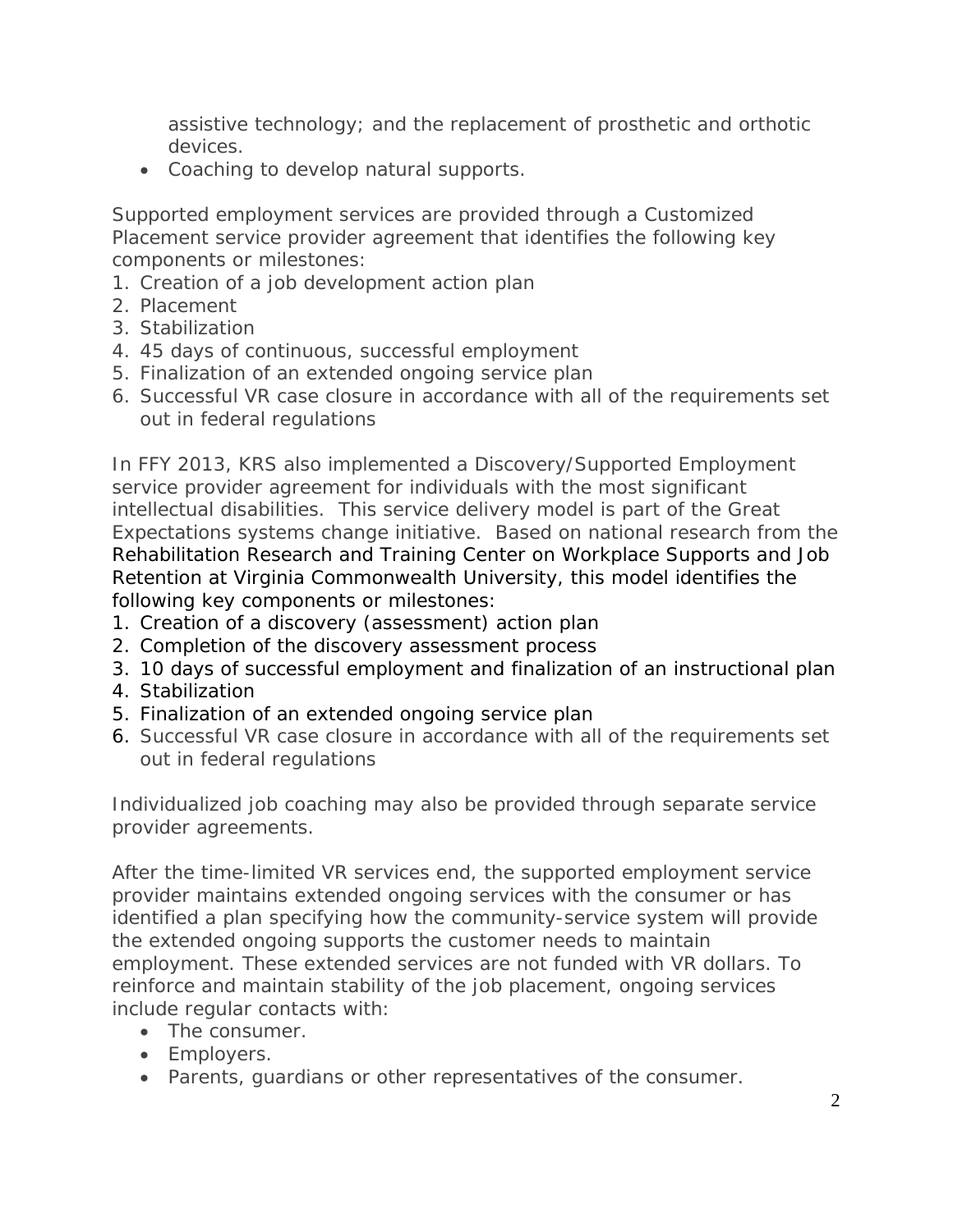assistive technology; and the replacement of prosthetic and orthotic devices.

• Coaching to develop natural supports.

Supported employment services are provided through a Customized Placement service provider agreement that identifies the following key components or milestones:

- 1. Creation of a job development action plan
- 2. Placement
- 3. Stabilization
- 4. 45 days of continuous, successful employment
- 5. Finalization of an extended ongoing service plan
- 6. Successful VR case closure in accordance with all of the requirements set out in federal regulations

In FFY 2013, KRS also implemented a Discovery/Supported Employment service provider agreement for individuals with the most significant intellectual disabilities. This service delivery model is part of the Great Expectations systems change initiative. Based on national research from the Rehabilitation Research and Training Center on Workplace Supports and Job Retention at Virginia Commonwealth University, this model identifies the following key components or milestones:

- 1. Creation of a discovery (assessment) action plan
- 2. Completion of the discovery assessment process
- 3. 10 days of successful employment and finalization of an instructional plan
- 4. Stabilization
- 5. Finalization of an extended ongoing service plan
- 6. Successful VR case closure in accordance with all of the requirements set out in federal regulations

Individualized job coaching may also be provided through separate service provider agreements.

After the time-limited VR services end, the supported employment service provider maintains extended ongoing services with the consumer or has identified a plan specifying how the community-service system will provide the extended ongoing supports the customer needs to maintain employment. These extended services are not funded with VR dollars. To reinforce and maintain stability of the job placement, ongoing services include regular contacts with:

- The consumer.
- Employers.
- Parents, guardians or other representatives of the consumer.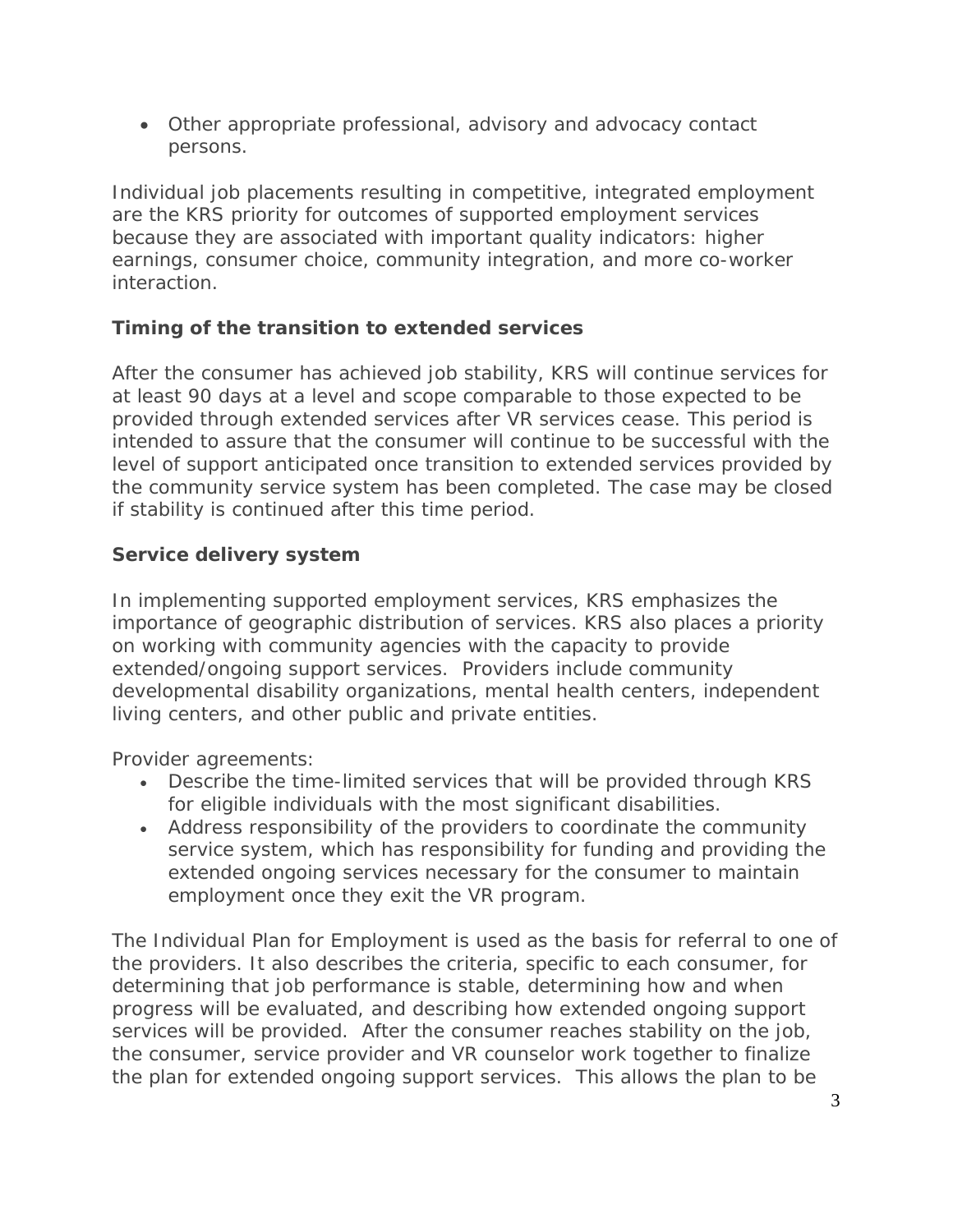• Other appropriate professional, advisory and advocacy contact persons.

Individual job placements resulting in competitive, integrated employment are the KRS priority for outcomes of supported employment services because they are associated with important quality indicators: higher earnings, consumer choice, community integration, and more co-worker interaction.

## **Timing of the transition to extended services**

After the consumer has achieved job stability, KRS will continue services for at least 90 days at a level and scope comparable to those expected to be provided through extended services after VR services cease. This period is intended to assure that the consumer will continue to be successful with the level of support anticipated once transition to extended services provided by the community service system has been completed. The case may be closed if stability is continued after this time period.

# **Service delivery system**

In implementing supported employment services, KRS emphasizes the importance of geographic distribution of services. KRS also places a priority on working with community agencies with the capacity to provide extended/ongoing support services. Providers include community developmental disability organizations, mental health centers, independent living centers, and other public and private entities.

Provider agreements:

- Describe the time-limited services that will be provided through KRS for eligible individuals with the most significant disabilities.
- Address responsibility of the providers to coordinate the community service system, which has responsibility for funding and providing the extended ongoing services necessary for the consumer to maintain employment once they exit the VR program.

The Individual Plan for Employment is used as the basis for referral to one of the providers. It also describes the criteria, specific to each consumer, for determining that job performance is stable, determining how and when progress will be evaluated, and describing how extended ongoing support services will be provided. After the consumer reaches stability on the job, the consumer, service provider and VR counselor work together to *finalize* the plan for extended ongoing support services. This allows the plan to be